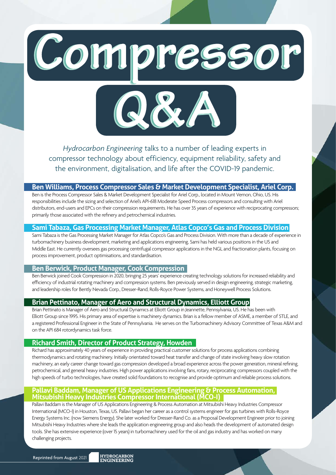Compressor



*Hydrocarbon Engineering* talks to a number of leading experts in compressor technology about efficiency, equipment reliability, safety and the environment, digitalisation, and life after the COVID-19 pandemic.

### **Ben Williams, Process Compressor Sales & Market Development Specialist, Ariel Corp.**

Ben is the Process Compressor Sales & Market Development Specialist for Ariel Corp., located in Mount Vernon, Ohio, US. His responsibilities include the sizing and selection of Ariel's API-618 Moderate Speed Process compressors and consulting with Ariel distributors, end-users and EPCs on their compression requirements. He has over 35 years of experience with reciprocating compressors; primarily those associated with the refinery and petrochemical industries.

### **Sami Tabaza, Gas Processing Market Manager, Atlas Copco's Gas and Process Division**

Sami Tabaza is the Gas Processing Market Manager for Atlas Copco's Gas and Process Division. With more than a decade of experience in turbomachinery business development, marketing and applications engineering, Sami has held various positions in the US and Middle East. He currently oversees gas processing centrifugal compressor applications in the NGL and fractionation plants, focusing on process improvement, product optimisations, and standardisation.

# **Ben Berwick, Product Manager, Cook Compression**

Ben Berwick joined Cook Compression in 2020, bringing 25 years' experience creating technology solutions for increased reliability and efficiency of industrial rotating machinery and compression systems. Ben previously served in design engineering, strategic marketing, and leadership roles for Bently Nevada Corp., Dresser-Rand, Rolls-Royce Power Systems, and Honeywell Process Solutions.

### **Brian Pettinato, Manager of Aero and Structural Dynamics, Elliott Group**

Brian Pettinato is Manager of Aero and Structural Dynamics at Elliott Group in Jeannette, Pennsylvania, US. He has been with Elliott Group since 1995. His primary area of expertise is machinery dynamics. Brian is a fellow member of ASME, a member of STLE, and a registered Professional Engineer in the State of Pennsylvania. He serves on the Turbomachinery Advisory Committee of Texas A&M and on the API 684 rotordynamics task force.

# **Richard Smith, Director of Product Strategy, Howden**

Richard has approximately 40 years of experience in providing practical customer solutions for process applications combining thermodynamics and rotating machinery. Initially orientated toward heat transfer and change of state involving heavy slow rotation machinery, an early career change toward gas compression developed a broad experience across the power generation, mineral refining, petrochemical, and general heavy industries. High power applications involving fans, rotary, reciprocating compressors coupled with the high speeds of turbo technologies, have created solid foundations to recognise and provide optimum and reliable process solutions.

### **Pallavi Baddam, Manager of US Applications Engineering & Process Automation, Mitsubishi Heavy Industries Compressor International (MCO-I)**

Pallavi Baddam is the Manager of US Applications Engineering & Process Automation at Mitsubishi Heavy Industries Compressor International (MCO-I) in Houston, Texas, US. Pallavi began her career as a control systems engineer for gas turbines with Rolls-Royce Energy Systems Inc. (now Siemens Energy). She later worked for Dresser-Rand Co. as a Proposal Development Engineer prior to joining Mitsubishi Heavy Industries where she leads the application engineering group and also heads the development of automated design tools. She has extensive experience (over 15 years) in turbomachinery used for the oil and gas industry and has worked on many challenging projects.

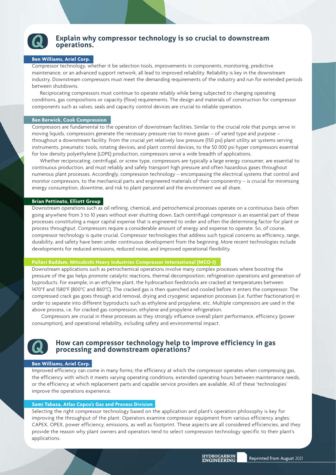

# **Explain why compressor technology is so crucial to downstream operations.**

### **Ben Williams, Ariel Corp.**

Compressor technology, whether it be selection tools, improvements in components, monitoring, predictive maintenance, or an advanced support network, all lead to improved reliability. Reliability is key in the downstream industry. Downstream compressors must meet the demanding requirements of the industry and run for extended periods between shutdowns.

Reciprocating compressors must continue to operate reliably while being subjected to changing operating conditions, gas compositions or capacity (flow) requirements. The design and materials of construction for compressor components such as valves, seals and capacity control devices are crucial to reliable operation.

#### **Ben Berwick, Cook Compression**

Compressors are fundamental to the operation of downstream facilities. Similar to the crucial role that pumps serve in moving liquids, compressors generate the necessary pressure rise to move gases – of varied type and purpose – throughout a downstream facility. From the crucial yet relatively low pressure (150 psi) plant utility air systems serving instruments, pneumatic tools, rotating devices, and plant control devices, to the 50 000 psi hyper compressors essential for low density polyethylene (LDPE) production, compressors serve a wide breadth of applications.

Whether reciprocating, centrifugal, or screw type, compressors are typically a large energy consumer, are essential to continuous production, and must reliably and safely transport high pressure and often hazardous gases throughout numerous plant processes. Accordingly, compression technology – encompassing the electrical systems that control and monitor compressors, to the mechanical parts and engineered materials of their componentry – is crucial for minimising energy consumption, downtime, and risk to plant personnel and the environment we all share.

#### **Brian Pettinato, Elliott Group**

Downstream operations such as oil refining, chemical, and petrochemical processes operate on a continuous basis often going anywhere from 3 to 10 years without ever shutting down. Each centrifugal compressor is an essential part of these processes constituting a major capital expense that is engineered to order and often the determining factor for plant or process throughput. Compressors require a considerable amount of energy and expense to operate. So, of course, compressor technology is quite crucial. Compressor technologies that address such typical concerns as efficiency, range, durability, and safety have been under continuous development from the beginning. More recent technologies include developments for reduced emissions, reduced noise, and improved operational flexibility.

#### **Pallavi Baddam, Mitsubishi Heavy Industries Compressor International (MCO-I)**

Downstream applications such as petrochemical operations involve many complex processes where boosting the pressure of the gas helps promote catalytic reactions, thermal decomposition, refrigeration operations and generation of byproducts. For example, in an ethylene plant, the hydrocarbon feedstocks are cracked at temperatures between 1470°F and 1580°F (800°C and 860°C). The cracked gas is then quenched and cooled before it enters the compressor. The compressed crack gas goes through acid removal, drying and cryogenic separation processes (i.e. further fractionation) in order to separate into different byproducts such as ethylene and propylene, etc. Multiple compressors are used in the above process, i.e. for cracked gas compression, ethylene and propylene refrigeration.

 Compressors are crucial in these processes as they strongly influence overall plant performance, efficiency (power consumption), and operational reliability, including safety and environmental impact.



# **How can compressor technology help to improve efficiency in gas processing and downstream operations?**

#### **Ben Williams, Ariel Corp.**

Improved efficiency can come in many forms; the efficiency at which the compressor operates when compressing gas, the efficiency with which it meets varying operating conditions, extended operating hours between maintenance needs, or the efficiency at which replacement parts and capable service providers are available. All of these 'technologies' improve the operations experience.

#### **Sami Tabaza, Atlas Copco's Gas and Process Division**

Selecting the right compressor technology based on the application and plant's operation philosophy is key for improving the throughput of the plant. Operators examine compressor equipment from various efficiency angles: CAPEX, OPEX, power efficiency, emissions, as well as footprint. These aspects are all considered efficiencies, and they provide the reason why plant owners and operators tend to select compression technology specific to their plant's applications.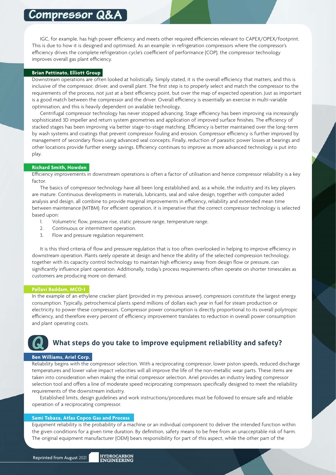IGC, for example, has high power efficiency and meets other required efficiencies relevant to CAPEX/OPEX/footprint. This is due to how it is designed and optimised. As an example: in refrigeration compressors where the compressor's efficiency drives the complete refrigeration cycle's coefficient of performance (COP), the compressor technology improves overall gas plant efficiency.

#### **Brian Pettinato, Elliott Group**

Downstream operations are often looked at holistically. Simply stated, it is the overall efficiency that matters, and this is inclusive of the compressor, driver, and overall plant. The first step is to properly select and match the compressor to the requirements of the process, not just at a best efficiency point, but over the map of expected operation. Just as important is a good match between the compressor and the driver. Overall efficiency is essentially an exercise in multi-variable optimisation, and this is heavily dependent on available technology.

Centrifugal compressor technology has never stopped advancing. Stage efficiency has been improving via increasingly sophisticated 3D impeller and return system geometries and application of improved surface finishes. The efficiency of stacked stages has been improving via better stage-to-stage matching. Efficiency is better maintained over the long-term by wash systems and coatings that prevent compressor fouling and erosion. Compressor efficiency is further improved by management of secondary flows using advanced seal concepts. Finally, reduction of parasitic power losses at bearings and other locations provide further energy savings. Efficiency continues to improve as more advanced technology is put into play.

#### **Richard Smith, Howden**

Efficiency improvements in downstream operations is often a factor of utilisation and hence compressor reliability is a key factor.

The basics of compressor technology have all been long established and, as a whole, the industry and its key players are mature. Continuous developments in materials, lubricants, seal and valve design, together with computer aided analysis and design, all combine to provide marginal improvements in efficiency, reliability and extended mean time between maintenance (MTBM). For efficient operation, it is imperative that the correct compressor technology is selected based upon:

- 1. Volumetric flow, pressure rise, static pressure range, temperature range.
- 2. Continuous or intermittent operation.
- 3. Flow and pressure regulation requirement.

It is this third criteria of flow and pressure regulation that is too often overlooked in helping to improve efficiency in downstream operation. Plants rarely operate at design and hence the ability of the selected compression technology, together with its capacity control technology to maintain high efficiency away from design flow or pressure, can significantly influence plant operation. Additionally, today's process requirements often operate on shorter timescales as customers are producing more on demand.

#### **Pallavi Baddam, MCO-I**

In the example of an ethylene cracker plant (provided in my previous answer), compressors constitute the largest energy consumption. Typically, petrochemical plants spend millions of dollars each year in fuel for steam production or electricity to power these compressors. Compressor power consumption is directly proportional to its overall polytropic efficiency, and therefore every percent of efficiency improvement translates to reduction in overall power consumption and plant operating costs.

# **What steps do you take to improve equipment reliability and safety?**

### **Ben Williams, Ariel Corp.**

Reliability begins with the compressor selection. With a reciprocating compressor, lower piston speeds, reduced discharge temperatures and lower valve impact velocities will all improve the life of the non-metallic wear parts. These items are taken into consideration when making the initial compressor selection. Ariel provides an industry leading compressor selection tool and offers a line of moderate speed reciprocating compressors specifically designed to meet the reliability requirements of the downstream industry.

Established limits, design guidelines and work instructions/procedures must be followed to ensure safe and reliable operation of a reciprocating compressor.

### **Sami Tabaza, Atlas Copco Gas and Process**

Equipment reliability is the probability of a machine or an individual component to deliver the intended function within the given conditions for a given time duration. By definition, safety means to be free from an unacceptable risk of harm. The original equipment manufacturer (OEM) bears responsibility for part of this aspect, while the other part of the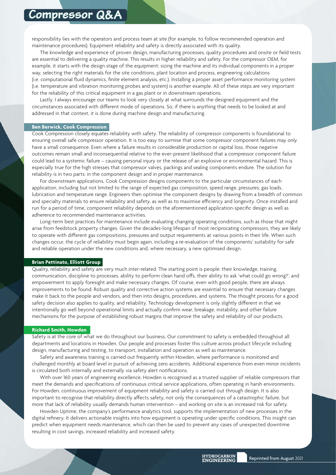responsibility lies with the operators and process team at site (for example, to follow recommended operation and maintenance procedures). Equipment reliability and safety is directly associated with its quality.

The knowledge and experience of proven design, manufacturing processes, quality procedures and onsite or field tests are essential to delivering a quality machine. This results in higher reliability and safety. For the compressor OEM, for example, it starts with the design stage of the equipment: sizing the machine and its individual components in a proper way, selecting the right materials for the site conditions, plant location and process, engineering calculations (i.e. computational fluid dynamics, finite element analysis, etc.). Installing a proper asset performance monitoring system (i.e. temperature and vibration monitoring probes and system) is another example. All of these steps are very important for the reliability of this critical equipment in a gas plant or in downstream operations.

Lastly, I always encourage our teams to look very closely at what surrounds the designed equipment and the circumstances associated with different mode of operations. So, if there is anything that needs to be looked at and addressed in that context, it is done during machine design and manufacturing.

#### **Ben Berwick, Cook Compression**

Cook Compression closely equates reliability with safety. The reliability of compressor components is foundational to ensuring overall safe compressor operation. It is too easy to surmise that some compressor component failures may only have a small consequence. Even where a failure results in considerable production or capital loss, those negative outcomes remain small and inconsequential relative to the ever-present likelihood that a compressor component failure could lead to a systemic failure – causing personal injury or the release of an explosive or environmental hazard. This is especially true for the high stresses that compressor valves, packings and sealing components endure. The solution for reliability is in two parts: in the component design and in proper maintenance.

For downstream applications, Cook Compression designs components to the particular circumstances of each application, including but not limited to the range of expected gas composition, speed range, pressures, gas loads, lubrication and temperature range. Engineers then optimise the component designs by drawing from a breadth of common and specialty materials to ensure reliability and safety, as well as to maximise efficiency and longevity. Once installed and run for a period of time, component reliability depends on the aforementioned application-specific design as well as adherence to recommended maintenance activities.

Long-term best practices for maintenance include evaluating changing operating conditions, such as those that might arise from feedstock property changes. Given the decades-long lifespan of most reciprocating compressors, they are likely to operate with different gas compositions, pressures and output requirements at various points in their life. When such changes occur, the cycle of reliability must begin again, including a re-evaluation of the components' suitability for safe and reliable operation under the new conditions and, where necessary, a new optimised design.

#### **Brian Pettinato, Elliott Group**

Quality, reliability and safety are very much inter-related. The starting point is people: their knowledge, training, communication, discipline to processes, ability to perform clean hand offs, their ability to ask 'what could go wrong?', and empowerment to apply foresight and make necessary changes. Of course, even with good people, there are always improvements to be found. Robust quality and corrective action systems are essential to ensure that necessary changes make it back to the people and vendors, and then into designs, procedures, and systems. The thought process for a good safety decision also applies to quality, and reliability. Technology development is only slightly different in that we intentionally go well beyond operational limits and actually confirm wear, breakage, instability, and other failure mechanisms for the purpose of establishing robust margins that improve the safety and reliability of our products.

#### **Richard Smith, Howden**

Safety is at the core of what we do throughout our business. Our commitment to safety is embedded throughout all departments and locations in Howden. Our people and processes foster this culture across product lifecycle including design, manufacturing and testing, to transport, installation and operation as well as maintenance.

Safety and awareness training is carried out frequently within Howden, where performance is monitored and challenged monthly at board level in pursuit of achieving zero accidents. Additional experience from even minor incidents is circulated both internally and externally via safety alert notifications.

With over 160 years of engineering excellence, Howden is recognised as a trusted supplier of reliable compressors that meet the demands and specifications of continuous critical service applications, often operating in harsh environments. For Howden, continuous improvement of equipment reliability and safety is carried out through design. It is also important to recognise that reliability directly affects safety, not only the consequences of a catastrophic failure, but more that lack of reliability usually demands human intervention – and working on site is an increased risk for safety.

Howden Uptime, the company's performance analytics tool, supports the implementation of new processes in the digital refinery. It delivers actionable insights into how equipment is operating under specific conditions. This insight can predict when equipment needs maintenance, which can then be used to prevent any cases of unexpected downtime resulting in cost savings, increased reliability and increased safety.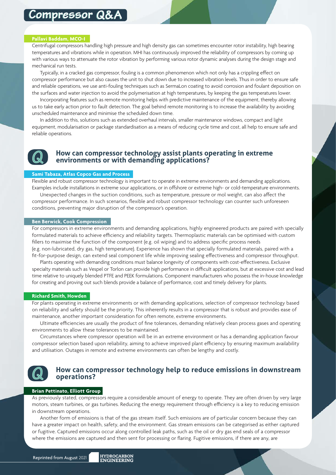#### **Pallavi Baddam, MCO-I**

Centrifugal compressors handling high pressure and high density gas can sometimes encounter rotor instability, high bearing temperatures and vibrations while in operation. MHI has continuously improved the reliability of compressors by coming up with various ways to attenuate the rotor vibration by performing various rotor dynamic analyses during the design stage and mechanical run tests.

Typically, in a cracked gas compressor, fouling is a common phenomenon which not only has a crippling effect on compressor performance but also causes the unit to shut down due to increased vibration levels. Thus in order to ensure safe and reliable operations, we use anti-fouling techniques such as SermaLon coating to avoid corrosion and foulant deposition on the surfaces and water injection to avoid the polymerisation at high temperatures, by keeping the gas temperatures lower.

Incorporating features such as remote monitoring helps with predictive maintenance of the equipment, thereby allowing us to take early action prior to fault detection. The goal behind remote monitoring is to increase the availability by avoiding unscheduled maintenance and minimise the scheduled down time.

In addition to this, solutions such as extended overhaul intervals, smaller maintenance windows, compact and light equipment, modularisation or package standardisation as a means of reducing cycle time and cost, all help to ensure safe and reliable operations.



# **How can compressor technology assist plants operating in extreme environments or with demanding applications?**

#### **Sami Tabaza, Atlas Copco Gas and Process**

Flexible and robust compressor technology is important to operate in extreme environments and demanding applications. Examples include installations in extreme sour applications, or in offshore or extreme high- or cold-temperature environments.

Unexpected changes in the suction conditions, such as temperature, pressure or mol weight, can also affect the compressor performance. In such scenarios, flexible and robust compressor technology can counter such unforeseen conditions, preventing major disruption of the compressor's operation.

#### **Ben Berwick, Cook Compression**

For compressors in extreme environments and demanding applications, highly engineered products are paired with specially formulated materials to achieve efficiency and reliability targets. Thermoplastic materials can be optimised with custom fillers to maximise the function of the component (e.g. oil wiping) and to address specific process needs (e.g. non-lubricated, dry gas, high temperature). Experience has shown that specially formulated materials, paired with a fit-for-purpose design, can extend seal component life while improving sealing effectiveness and compressor throughput.

Plants operating with demanding conditions must balance longevity of components with cost-effectiveness. Exclusive specialty materials such as Vespel or Torlon can provide high performance in difficult applications, but at excessive cost and lead time relative to uniquely blended PTFE and PEEK formulations. Component manufacturers who possess the in-house knowledge for creating and proving out such blends provide a balance of performance, cost and timely delivery for plants.

#### **Richard Smith, Howden**

For plants operating in extreme environments or with demanding applications, selection of compressor technology based on reliability and safety should be the priority. This inherently results in a compressor that is robust and provides ease of maintenance, another important consideration for often remote, extreme environments.

Ultimate efficiencies are usually the product of fine tolerances, demanding relatively clean process gases and operating environments to allow these tolerances to be maintained.

Circumstances where compressor operation will be in an extreme environment or has a demanding application favour compressor selection based upon reliability, aiming to achieve improved plant efficiency by ensuring maximum availability and utilisation. Outages in remote and extreme environments can often be lengthy and costly.



### **How can compressor technology help to reduce emissions in downstream operations?**

#### **Brian Pettinato, Elliott Group**

As previously stated, compressors require a considerable amount of energy to operate. They are often driven by very large motors, steam turbines, or gas turbines. Reducing the energy requirement through efficiency is a key to reducing emission in downstream operations.

Another form of emissions is that of the gas stream itself. Such emissions are of particular concern because they can have a greater impact on health, safety, and the environment. Gas stream emissions can be categorised as either captured or fugitive. Captured emissions occur along controlled leak paths, such as the oil or dry gas end seals of a compressor where the emissions are captured and then sent for processing or flaring. Fugitive emissions, if there are any, are

ENGINEERING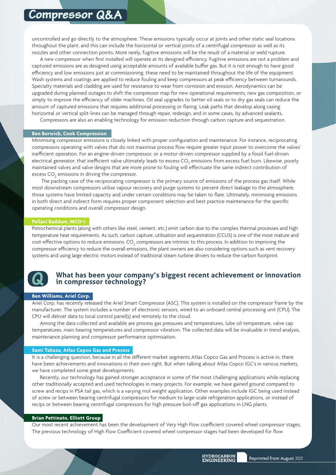uncontrolled and go directly to the atmosphere. These emissions typically occur at joints and other static seal locations throughout the plant, and this can include the horizontal or vertical joints of a centrifugal compressor as well as its nozzles and other connection points. More rarely, fugitive emissions will be the result of a material or weld rupture.

A new compressor when first installed will operate at its designed efficiency. Fugitive emissions are not a problem and captured emissions are as designed using acceptable amounts of available buffer gas. But it is not enough to have good efficiency and low emissions just at commissioning, these need to be maintained throughout the life of the equipment. Wash systems and coatings are applied to reduce fouling and keep compressors at peak efficiency between turnarounds. Specialty materials and cladding are used for resistance to wear from corrosion and erosion. Aerodynamics can be upgraded during planned outages to shift the compressor map for new operational requirements, new gas composition, or simply to improve the efficiency of older machines. Oil seal upgrades to better oil seals or to dry gas seals can reduce the amount of captured emissions that requires additional processing or flaring. Leak paths that develop along casing horizontal or vertical split-lines can be managed through repair, redesign, and in some cases, by advanced sealants.

Compressors are also an enabling technology for emission reduction through carbon capture and sequestration.

#### **Ben Berwick, Cook Compression**

Minimising compressor emissions is closely linked with proper configuration and maintenance. For instance, reciprocating compressors operating with valves that do not maximise process flow require greater input power to overcome the valves' inefficient operation. For an engine-driven compressor, or a motor-driven compressor supplied by a fossil fuel-driven electrical generator, that inefficient valve ultimately leads to excess CO<sub>2</sub> emissions from excess fuel burn. Likewise, poorly maintained valves and valve designs that are more prone to fouling will effectuate the same indirect contribution of excess CO $_{\textrm{\tiny{2}}}$  emissions in driving the compressor.

 The packing case of the reciprocating compressor is the primary source of emissions of the process gas itself. While most downstream compressors utilise vapour recovery and purge systems to prevent direct leakage to the atmosphere, those systems have limited capacity and under certain conditions may be taken to flare. Ultimately, minimising emissions in both direct and indirect form requires proper component selection and best practice maintenance for the specific operating conditions and overall compressor design.

# **Pallavi Baddam, MCO-I**

Petrochemical plants (along with others like steel, cement, etc.) emit carbon due to the complex thermal processes and high temperature heat requirements. As such, carbon capture, utilisation and sequestration (CCUS) is one of the most mature and cost-effective options to reduce emissions. CO<sub>2</sub> compressors are intrinsic to this process. In addition to improving the compressor efficiency to reduce the overall emissions, the plant owners are also considering options such as vent recovery systems and using large electric motors instead of traditional steam turbine drivers to reduce the carbon footprint.



# **What has been your company's biggest recent achievement or innovation in compressor technology?**

#### **Ben Williams, Ariel Corp.**

Ariel Corp. has recently released the Ariel Smart Compressor (ASC). This system is installed on the compressor frame by the manufacturer. The system includes a number of electronic sensors, wired to an onboard central processing unit (CPU). The CPU will deliver data to local control panel(s) and remotely to the cloud.

Among the data collected and available are process gas pressures and temperatures, lube oil temperature, valve cap temperatures, main bearing temperatures and compressor vibration. The collected data will be invaluable in trend analysis, maintenance planning and compressor performance optimisation.

#### **Sami Tabaza, Atlas Copco Gas and Process**

It is a challenging question, because in all the different market segments Atlas Copco Gas and Process is active in, there have been achievements and innovations in their own right. But when talking about Atlas Copco IGC's in various markets, we have completed some great developments.

Recently, our technology has gained stronger acceptance in some of the most challenging applications while replacing other traditionally accepted and used technologies in many projects. For example, we have gained ground compared to screw and recips in PSA tail gas, which is a varying mol weight application. Other examples include IGC being used instead of screw or between bearing centrifugal compressors for medium to large-scale refrigeration applications, or instead of recips or between bearing centrifugal compressors for high pressure boil-off gas applications in LNG plants.

#### **Brian Pettinato, Elliott Group**

Our most recent achievement has been the development of Very High Flow coefficient covered wheel compressor stages. The previous technology of High Flow Coefficient covered wheel compressor stages had been developed for flow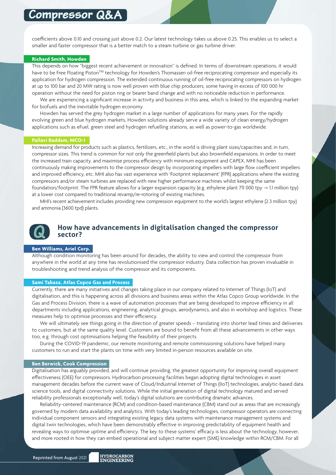coefficients above 0.10 and crossing just above 0.2. Our latest technology takes us above 0.25. This enables us to select a smaller and faster compressor that is a better match to a steam turbine or gas turbine driver.

#### **Richard Smith, Howden**

This depends on how "biggest recent achievement or innovation" is defined. In terms of downstream operations, it would have to be Free Floating Piston<sup>TM</sup> technology for Howden's Thomassen oil-free reciprocating compressor and especially its application for hydrogen compression. The extended continuous running of oil-free reciprocating compressors on hydrogen at up to 100 bar and 20 MW rating is now well proven with blue chip producers, some having in excess of 100 000 hr operation without the need for piston ring or bearer band change and with no noticeable reduction in performance.

We are experiencing a significant increase in activity and business in this area, which is linked to the expanding market for biofuels and the inevitable hydrogen economy.

Howden has served the grey hydrogen market in a large number of applications for many years. For the rapidly evolving green and blue hydrogen markets, Howden solutions already serve a wide variety of clean energy/hydrogen applications such as eFuel, green steel and hydrogen refuelling stations, as well as power-to-gas worldwide.

#### **Pallavi Baddam, MCO-I**

Increasing demand for products such as plastics, fertilizers, etc., in the world is driving plant sizes/capacities and, in turn, compressor sizes. This trend is common for not only the greenfield plants but also brownfield expansions. In order to meet the increased train capacity, and maximise process efficiency with minimum equipment and CAPEX, MHI has been continuously making improvements to the compressor design by incorporating impellers with large flow coefficient impellers and improved efficiency, etc. MHI also has vast experience with 'Footprint replacement' (FPR) applications where the existing compressors and/or steam turbines are replaced with new higher performance machines whilst keeping the same foundation/footprint. The FPR feature allows for a larger expansion capacity (e.g. ethylene plant 711 000 tpy -> 1.1 million tpy) at a lower cost compared to traditional revamp/re-rotoring of existing machines.

MHI's recent achievement includes providing new compression equipment to the world's largest ethylene (2.3 million tpy) and ammonia (3600 tpd) plants.



# **How have advancements in digitalisation changed the compressor sector?**

#### **Ben Williams, Ariel Corp.**

Although condition monitoring has been around for decades, the ability to view and control the compressor from anywhere in the world at any time has revolutionised the compressor industry. Data collection has proven invaluable in troubleshooting and trend analysis of the compressor and its components.

#### **Sami Tabaza, Atlas Copco Gas and Process**

Currently, there are many initiatives and changes taking place in our company related to Internet of Things (IoT) and digitalisation, and this is happening across all divisions and business areas within the Atlas Copco Group worldwide. In the Gas and Process Division, there is a wave of automation processes that are being developed to improve efficiency in all departments including applications, engineering, analytical groups, aerodynamics, and also in workshop and logistics. These measures help to optimise processes and their efficiency.

We will ultimately see things going in the direction of greater speeds – translating into shorter lead times and deliveries to customers, but at the same quality level. Customers are bound to benefit from all these advancements in other ways too, e.g. through cost optimisations helping the feasibility of their projects.

During the COVID-19 pandemic, our remote monitoring and remote commissioning solutions have helped many customers to run and start the plants on time with very limited in-person resources available on site.

#### **Ben Berwick, Cook Compression**

Digitalisation has arguably provided, and will continue providing, the greatest opportunity for improving overall equipment effectiveness (OEE) for compressors. Hydrocarbon processing facilities began adopting digital technologies in asset management decades before the current wave of Cloud/Industrial Internet of Things (IIoT) technologies, analytic-based data science tools, and digital connectivity solutions. While the initial generation of digital technology matured and served reliability professionals exceptionally well, today's digital solutions are contributing dramatic advances.

Reliability-centered maintenance (RCM) and condition-based maintenance (CBM) stand out as areas that are increasingly governed by modern data availability and analytics. With today's leading technologies, compressor operators are connecting individual component sensors and integrating existing legacy data systems with maintenance management systems and digital twin technologies, which have been demonstrably effective in improving predictability of equipment health and revealing ways to optimise uptime and efficiency. The key to these systems' efficacy is less about the technology, however, and more rooted in how they can embed operational and subject matter expert (SME) knowledge within RCM/CBM. For all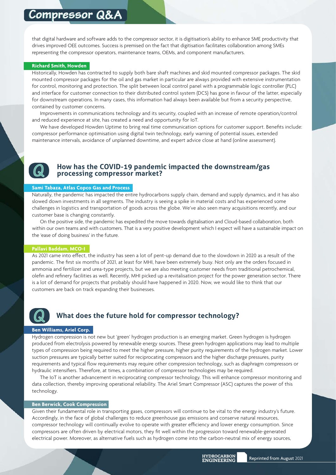that digital hardware and software adds to the compressor sector, it is digitisation's ability to enhance SME productivity that drives improved OEE outcomes. Success is premised on the fact that digitisation facilitates collaboration among SMEs representing the compressor operators, maintenance teams, OEMs, and component manufacturers.

#### **Richard Smith, Howden**

Historically, Howden has contracted to supply both bare shaft machines and skid mounted compressor packages. The skid mounted compressor packages for the oil and gas market in particular are always provided with extensive instrumentation for control, monitoring and protection. The split between local control panel with a programmable logic controller (PLC) and interface for customer connection to their distributed control system (DCS) has gone in favour of the latter, especially for downstream operations. In many cases, this information had always been available but from a security perspective, contained by customer concerns.

Improvements in communications technology and its security, coupled with an increase of remote operation/control and reduced experience at site, has created a need and opportunity for IoT.

We have developed Howden Uptime to bring real time communication options for customer support. Benefits include: compressor performance optimisation using digital twin technology, early warning of potential issues, extended maintenance intervals, avoidance of unplanned downtime, and expert advice close at hand (online assessment).



# **How has the COVID-19 pandemic impacted the downstream/gas processing compressor market?**

#### **Sami Tabaza, Atlas Copco Gas and Process**

Naturally, the pandemic has impacted the entire hydrocarbons supply chain, demand and supply dynamics, and it has also slowed down investments in all segments. The industry is seeing a spike in material costs and has experienced some challenges in logistics and transportation of goods across the globe. We've also seen many acquisitions recently, and our customer base is changing constantly.

On the positive side, the pandemic has expedited the move towards digitalisation and Cloud-based collaboration, both within our own teams and with customers. That is a very positive development which I expect will have a sustainable impact on the 'ease of doing business' in the future.

#### **Pallavi Baddam, MCO-I**

As 2021 came into effect, the industry has seen a lot of pent-up demand due to the slowdown in 2020 as a result of the pandemic. The first six months of 2021, at least for MHI, have been extremely busy. Not only are the orders focused in ammonia and fertilizer and urea-type projects, but we are also meeting customer needs from traditional petrochemical, olefin and refinery facilities as well. Recently, MHI picked up a revitalisation project for the power generation sector. There is a lot of demand for projects that probably should have happened in 2020. Now, we would like to think that our customers are back on track expanding their businesses.

# **What does the future hold for compressor technology?**

#### **Ben Williams, Ariel Corp.**

Hydrogen compression is not new but 'green' hydrogen production is an emerging market. Green hydrogen is hydrogen produced from electrolysis powered by renewable energy sources. These green hydrogen applications may lead to multiple types of compression being required to meet the higher pressure, higher purity requirements of the hydrogen market. Lower suction pressures are typically better suited for reciprocating compressors and the higher discharge pressures, purity requirements and typical flow requirements may require other compression technology, such as diaphragm compressors or hydraulic intensifiers. Therefore, at times, a combination of compressor technologies may be required.

The IoT is another advancement in reciprocating compressor technology. This will enhance compressor monitoring and data collection, thereby improving operational reliability. The Ariel Smart Compressor (ASC) captures the power of this technology.

#### **Ben Berwick, Cook Compression**

Given their fundamental role in transporting gases, compressors will continue to be vital to the energy industry's future. Accordingly, in the face of global challenges to reduce greenhouse gas emissions and conserve natural resources, compressor technology will continually evolve to operate with greater efficiency and lower energy consumption. Since compressors are often driven by electrical motors, they fit well within the progression toward renewable-generated electrical power. Moreover, as alternative fuels such as hydrogen come into the carbon-neutral mix of energy sources,